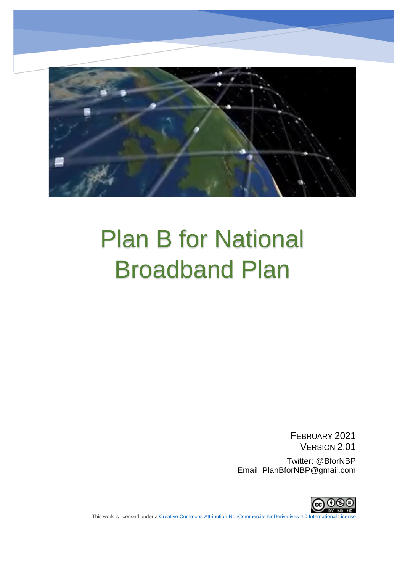

# Plan B for National Broadband Plan

FEBRUARY 2021 VERSION 2.01 Twitter: @BforNBP

Email: PlanBforNBP@gmail.com



This work is licensed under a Creative Commons Attribution-NonCommercial-NoDerivatives 4.0 Internation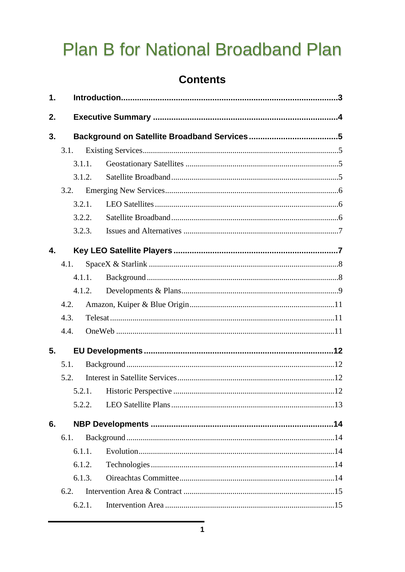# **Plan B for National Broadband Plan**

## **Contents**

| 1.          |      |        |  |  |  |  |
|-------------|------|--------|--|--|--|--|
| 2.          |      |        |  |  |  |  |
| 3.          |      |        |  |  |  |  |
|             | 3.1. |        |  |  |  |  |
|             |      | 3.1.1. |  |  |  |  |
|             |      | 3.1.2. |  |  |  |  |
|             | 3.2. |        |  |  |  |  |
|             |      | 3.2.1. |  |  |  |  |
|             |      | 3.2.2. |  |  |  |  |
|             |      | 3.2.3. |  |  |  |  |
| $\mathbf 4$ |      |        |  |  |  |  |
|             | 4.1. |        |  |  |  |  |
|             |      | 4.1.1. |  |  |  |  |
|             |      | 4.1.2. |  |  |  |  |
|             | 4.2. |        |  |  |  |  |
|             | 4.3. |        |  |  |  |  |
|             | 4.4. |        |  |  |  |  |
| 5.          |      |        |  |  |  |  |
|             | 5.1. |        |  |  |  |  |
|             | 5.2. |        |  |  |  |  |
|             |      |        |  |  |  |  |
|             |      | 5.2.2. |  |  |  |  |
| 6.          |      |        |  |  |  |  |
|             | 6.1. |        |  |  |  |  |
|             |      | 6.1.1. |  |  |  |  |
|             |      | 6.1.2. |  |  |  |  |
|             |      | 6.1.3. |  |  |  |  |
|             | 6.2. |        |  |  |  |  |
|             |      | 6.2.1. |  |  |  |  |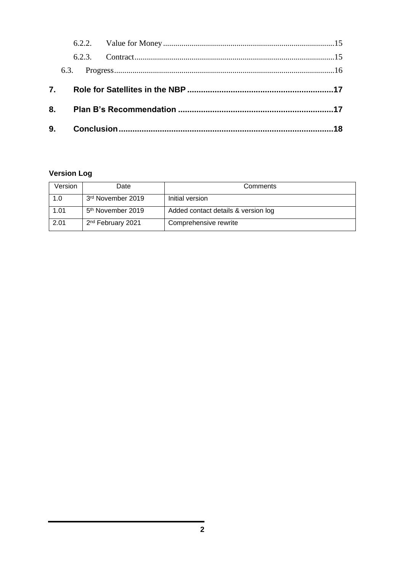|    | 6.2.3. |  |  |  |
|----|--------|--|--|--|
|    |        |  |  |  |
| 7. |        |  |  |  |
|    | 8.     |  |  |  |
|    |        |  |  |  |

#### **Version Log**

| Version | Date                          | Comments                            |
|---------|-------------------------------|-------------------------------------|
| 1.0     | 3rd November 2019             | Initial version                     |
| 1.01    | 5 <sup>th</sup> November 2019 | Added contact details & version log |
| 2.01    | 2 <sup>nd</sup> February 2021 | Comprehensive rewrite               |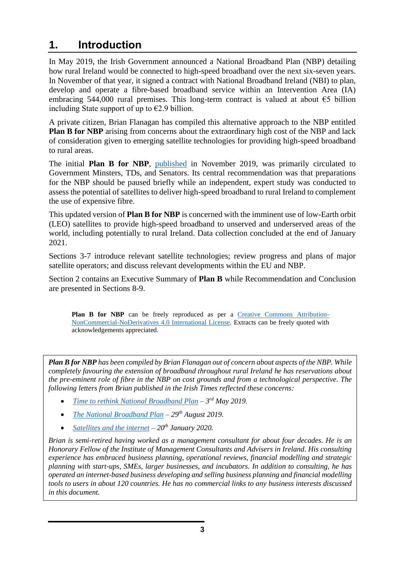# <span id="page-3-0"></span>**1. Introduction**

In May 2019, the Irish Government announced a National Broadband Plan (NBP) detailing how rural Ireland would be connected to high-speed broadband over the next six-seven years. In November of that year, it signed a contract with National Broadband Ireland (NBI) to plan, develop and operate a fibre-based broadband service within an Intervention Area (IA) embracing 544,000 rural premises. This long-term contract is valued at about  $\epsilon$ 5 billion including State support of up to  $\epsilon$ 2.9 billion.

A private citizen, Brian Flanagan has compiled this alternative approach to the NBP entitled **Plan B for NBP** arising from concerns about the extraordinary high cost of the NBP and lack of consideration given to emerging satellite technologies for providing high-speed broadband to rural areas.

The initial **Plan B for NBP**, [published](http://bit.ly/PlanB_for_NBP) in November 2019, was primarily circulated to Government Minsters, TDs, and Senators. Its central recommendation was that preparations for the NBP should be paused briefly while an independent, expert study was conducted to assess the potential of satellites to deliver high-speed broadband to rural Ireland to complement the use of expensive fibre.

This updated version of **Plan B for NBP** is concerned with the imminent use of low-Earth orbit (LEO) satellites to provide high-speed broadband to unserved and underserved areas of the world, including potentially to rural Ireland. Data collection concluded at the end of January 2021.

Sections 3-7 introduce relevant satellite technologies; review progress and plans of major satellite operators; and discuss relevant developments within the EU and NBP.

Section 2 contains an Executive Summary of **Plan B** while Recommendation and Conclusion are presented in Sections 8-9.

**Plan B for NBP** can be freely reproduced as per a [Creative Commons Attribution-](https://creativecommons.org/licenses/by-nc-nd/4.0/)[NonCommercial-NoDerivatives 4.0 International License.](https://creativecommons.org/licenses/by-nc-nd/4.0/) Extracts can be freely quoted with acknowledgements appreciated.

*Plan B for NBP has been compiled by Brian Flanagan out of concern about aspects of the NBP. While completely favouring the extension of broadband throughout rural Ireland he has reservations about the pre-eminent role of fibre in the NBP on cost grounds and from a technological perspective. The following letters from Brian published in the Irish Times reflected these concerns:*

- *[Time to rethink National Broadband Plan](https://www.irishtimes.com/opinion/letters/time-to-rethink-national-broadband-plan-1.3878881) – 3 rd May 2019.*
- *[The National Broadband Plan](https://www.irishtimes.com/opinion/letters/the-national-broadband-plan-1.4000251) – 29th August 2019.*
- *[Satellites and the internet](https://www.irishtimes.com/opinion/letters/satellites-and-the-internet-1.4144361) – 20th January 2020.*

*Brian is semi-retired having worked as a management consultant for about four decades. He is an Honorary Fellow of the Institute of Management Consultants and Advisers in Ireland. His consulting experience has embraced business planning, operational reviews, financial modelling and strategic planning with start-ups, SMEs, larger businesses, and incubators. In addition to consulting, he has operated an internet-based business developing and selling business planning and financial modelling tools to users in about 120 countries. He has no commercial links to any business interests discussed in this document.*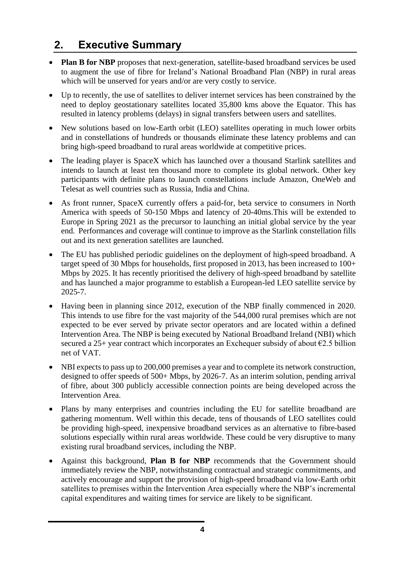# <span id="page-4-0"></span>**2. Executive Summary**

- **Plan B for NBP** proposes that next-generation, satellite-based broadband services be used to augment the use of fibre for Ireland's National Broadband Plan (NBP) in rural areas which will be unserved for years and/or are very costly to service.
- Up to recently, the use of satellites to deliver internet services has been constrained by the need to deploy geostationary satellites located 35,800 kms above the Equator. This has resulted in latency problems (delays) in signal transfers between users and satellites.
- New solutions based on low-Earth orbit (LEO) satellites operating in much lower orbits and in constellations of hundreds or thousands eliminate these latency problems and can bring high-speed broadband to rural areas worldwide at competitive prices.
- The leading player is SpaceX which has launched over a thousand Starlink satellites and intends to launch at least ten thousand more to complete its global network. Other key participants with definite plans to launch constellations include Amazon, OneWeb and Telesat as well countries such as Russia, India and China.
- As front runner, SpaceX currently offers a paid-for, beta service to consumers in North America with speeds of 50-150 Mbps and latency of 20-40ms.This will be extended to Europe in Spring 2021 as the precursor to launching an initial global service by the year end. Performances and coverage will continue to improve as the Starlink constellation fills out and its next generation satellites are launched.
- The EU has published periodic guidelines on the deployment of high-speed broadband. A target speed of 30 Mbps for households, first proposed in 2013, has been increased to 100+ Mbps by 2025. It has recently prioritised the delivery of high-speed broadband by satellite and has launched a major programme to establish a European-led LEO satellite service by 2025-7.
- Having been in planning since 2012, execution of the NBP finally commenced in 2020. This intends to use fibre for the vast majority of the 544,000 rural premises which are not expected to be ever served by private sector operators and are located within a defined Intervention Area. The NBP is being executed by National Broadband Ireland (NBI) which secured a 25+ year contract which incorporates an Exchequer subsidy of about  $\epsilon$ 2.5 billion net of VAT.
- NBI expects to pass up to 200,000 premises a year and to complete its network construction, designed to offer speeds of 500+ Mbps, by 2026-7. As an interim solution, pending arrival of fibre, about 300 publicly accessible connection points are being developed across the Intervention Area.
- Plans by many enterprises and countries including the EU for satellite broadband are gathering momentum. Well within this decade, tens of thousands of LEO satellites could be providing high-speed, inexpensive broadband services as an alternative to fibre-based solutions especially within rural areas worldwide. These could be very disruptive to many existing rural broadband services, including the NBP.
- Against this background, **Plan B for NBP** recommends that the Government should immediately review the NBP, notwithstanding contractual and strategic commitments, and actively encourage and support the provision of high-speed broadband via low-Earth orbit satellites to premises within the Intervention Area especially where the NBP's incremental capital expenditures and waiting times for service are likely to be significant.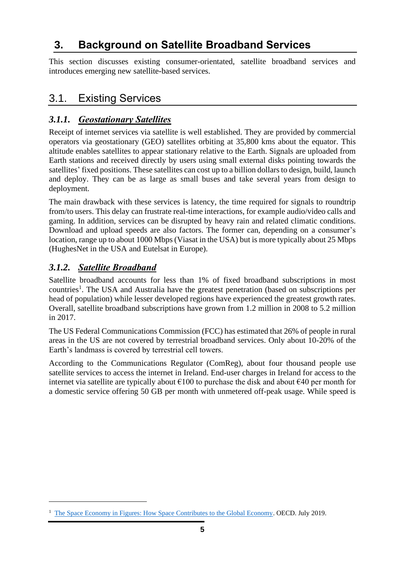# <span id="page-5-0"></span>**3. Background on Satellite Broadband Services**

This section discusses existing consumer-orientated, satellite broadband services and introduces emerging new satellite-based services.

# <span id="page-5-1"></span>3.1. Existing Services

#### <span id="page-5-2"></span>*3.1.1. Geostationary Satellites*

Receipt of internet services via satellite is well established. They are provided by commercial operators via geostationary (GEO) satellites orbiting at 35,800 kms about the equator. This altitude enables satellites to appear stationary relative to the Earth. Signals are uploaded from Earth stations and received directly by users using small external disks pointing towards the satellites' fixed positions. These satellites can cost up to a billion dollars to design, build, launch and deploy. They can be as large as small buses and take several years from design to deployment.

The main drawback with these services is latency, the time required for signals to roundtrip from/to users. This delay can frustrate real-time interactions, for example audio/video calls and gaming. In addition, services can be disrupted by heavy rain and related climatic conditions. Download and upload speeds are also factors. The former can, depending on a consumer's location, range up to about 1000 Mbps (Viasat in the USA) but is more typically about 25 Mbps (HughesNet in the USA and Eutelsat in Europe).

#### <span id="page-5-3"></span>*3.1.2. Satellite Broadband*

Satellite broadband accounts for less than 1% of fixed broadband subscriptions in most countries<sup>1</sup>. The USA and Australia have the greatest penetration (based on subscriptions per head of population) while lesser developed regions have experienced the greatest growth rates. Overall, satellite broadband subscriptions have grown from 1.2 million in 2008 to 5.2 million in 2017.

The US Federal Communications Commission (FCC) has estimated that 26% of people in rural areas in the US are not covered by terrestrial broadband services. Only about 10-20% of the Earth's landmass is covered by terrestrial cell towers.

According to the Communications Regulator (ComReg), about four thousand people use satellite services to access the internet in Ireland. End-user charges in Ireland for access to the internet via satellite are typically about  $\epsilon$ 100 to purchase the disk and about  $\epsilon$ 40 per month for a domestic service offering 50 GB per month with unmetered off-peak usage. While speed is

<sup>&</sup>lt;sup>1</sup> [The Space Economy in Figures: How Space Contributes to the Global Economy.](http://www.oecd.org/sti/inno/the-space-economy-in-figures-c5996201-en.htm) OECD. July 2019.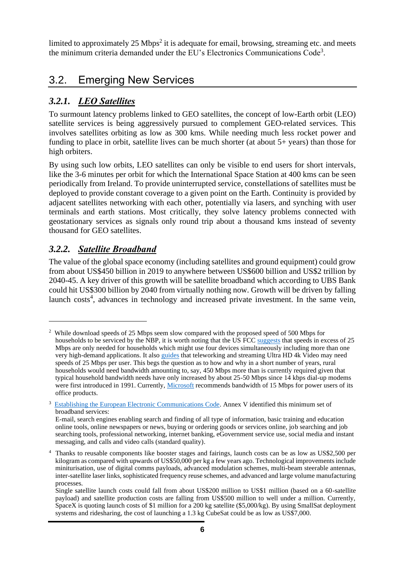limited to approximately 25 Mbps<sup>2</sup> it is adequate for email, browsing, streaming etc. and meets the minimum criteria demanded under the EU's Electronics Communications Code<sup>3</sup>.

# <span id="page-6-0"></span>3.2. Emerging New Services

#### <span id="page-6-1"></span>*3.2.1. LEO Satellites*

To surmount latency problems linked to GEO satellites, the concept of low-Earth orbit (LEO) satellite services is being aggressively pursued to complement GEO-related services. This involves satellites orbiting as low as 300 kms. While needing much less rocket power and funding to place in orbit, satellite lives can be much shorter (at about 5+ years) than those for high orbiters.

By using such low orbits, LEO satellites can only be visible to end users for short intervals, like the 3-6 minutes per orbit for which the International Space Station at 400 kms can be seen periodically from Ireland. To provide uninterrupted service, constellations of satellites must be deployed to provide constant coverage to a given point on the Earth. Continuity is provided by adjacent satellites networking with each other, potentially via lasers, and synching with user terminals and earth stations. Most critically, they solve latency problems connected with geostationary services as signals only round trip about a thousand kms instead of seventy thousand for GEO satellites.

#### <span id="page-6-2"></span>*3.2.2. Satellite Broadband*

The value of the global space economy (including satellites and ground equipment) could grow from about US\$450 billion in 2019 to anywhere between US\$600 billion and US\$2 trillion by 2040-45. A key driver of this growth will be satellite broadband which according to UBS Bank could hit US\$300 billion by 2040 from virtually nothing now. Growth will be driven by falling launch costs<sup>4</sup>, advances in technology and increased private investment. In the same vein,

<sup>&</sup>lt;sup>2</sup> While download speeds of 25 Mbps seem slow compared with the proposed speed of 500 Mbps for households to be serviced by the NBP, it is worth noting that the US FC[C suggests](https://www.fcc.gov/research-reports/guides/household-broadband-guide) that speeds in excess of 25 Mbps are only needed for households which might use four devices simultaneously including more than one very high-demand applications. It also [guides](https://www.fcc.gov/reports-research/guides/broadband-speed-guide) that teleworking and streaming Ultra HD 4k Video may need speeds of 25 Mbps per user. This begs the question as to how and why in a short number of years, rural households would need bandwidth amounting to, say, 450 Mbps more than is currently required given that typical household bandwidth needs have only increased by about 25-50 Mbps since 14 kbps dial-up modems were first introduced in 1991. Currently, [Microsoft](https://docs.microsoft.com/en-us/windows-server/remote/remote-desktop-services/network-guidance) recommends bandwidth of 15 Mbps for power users of its office products.

<sup>&</sup>lt;sup>3</sup> [Establishing the European Electronic Communications Code.](https://eur-lex.europa.eu/legal-content/EN/TXT/PDF/?uri=CELEX:32018L1972&from=EN) Annex V identified this minimum set of broadband services:

E-mail, search engines enabling search and finding of all type of information, basic training and education online tools, online newspapers or news, buying or ordering goods or services online, job searching and job searching tools, professional networking, internet banking, eGovernment service use, social media and instant messaging, and calls and video calls (standard quality).

<sup>&</sup>lt;sup>4</sup> Thanks to reusable components like booster stages and fairings, launch costs can be as low as US\$2,500 per kilogram as compared with upwards of US\$50,000 per kg a few years ago. Technological improvements include miniturisation, use of digital comms payloads, advanced modulation schemes, multi-beam steerable antennas, inter-satellite laser links, sophisticated frequency reuse schemes, and advanced and large volume manufacturing processes.

Single satellite launch costs could fall from about US\$200 million to US\$1 million (based on a 60-satellite payload) and satellite production costs are falling from US\$500 million to well under a million. Currently, SpaceX is quoting launch costs of \$1 million for a 200 kg satellite (\$5,000/kg). By using SmallSat deployment systems and ridesharing, the cost of launching a 1.3 kg CubeSat could be as low as US\$7,000.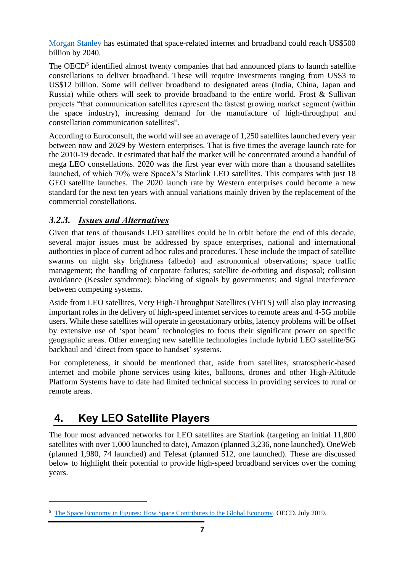[Morgan Stanley](https://www.morganstanley.com/ideas/investing-in-space) has estimated that space-related internet and broadband could reach US\$500 billion by 2040.

The OECD<sup>5</sup> identified almost twenty companies that had announced plans to launch satellite constellations to deliver broadband. These will require investments ranging from US\$3 to US\$12 billion. Some will deliver broadband to designated areas (India, China, Japan and Russia) while others will seek to provide broadband to the entire world. Frost & Sullivan projects "that communication satellites represent the fastest growing market segment (within the space industry), increasing demand for the manufacture of high-throughput and constellation communication satellites".

According to Euroconsult, the world will see an average of 1,250 satellites launched every year between now and 2029 by Western enterprises. That is five times the average launch rate for the 2010-19 decade. It estimated that half the market will be concentrated around a handful of mega LEO constellations. 2020 was the first year ever with more than a thousand satellites launched, of which 70% were SpaceX's Starlink LEO satellites. This compares with just 18 GEO satellite launches. The 2020 launch rate by Western enterprises could become a new standard for the next ten years with annual variations mainly driven by the replacement of the commercial constellations.

#### <span id="page-7-0"></span>*3.2.3. Issues and Alternatives*

Given that tens of thousands LEO satellites could be in orbit before the end of this decade, several major issues must be addressed by space enterprises, national and international authorities in place of current ad hoc rules and procedures. These include the impact of satellite swarms on night sky brightness (albedo) and astronomical observations; space traffic management; the handling of corporate failures; satellite de-orbiting and disposal; collision avoidance (Kessler syndrome); blocking of signals by governments; and signal interference between competing systems.

Aside from LEO satellites, Very High-Throughput Satellites (VHTS) will also play increasing important roles in the delivery of high-speed internet services to remote areas and 4-5G mobile users. While these satellites will operate in geostationary orbits, latency problems will be offset by extensive use of 'spot beam' technologies to focus their significant power on specific geographic areas. Other emerging new satellite technologies include hybrid LEO satellite/5G backhaul and 'direct from space to handset' systems.

For completeness, it should be mentioned that, aside from satellites, stratospheric-based internet and mobile phone services using kites, balloons, drones and other High-Altitude Platform Systems have to date had limited technical success in providing services to rural or remote areas.

# <span id="page-7-1"></span>**4. Key LEO Satellite Players**

The four most advanced networks for LEO satellites are Starlink (targeting an initial 11,800 satellites with over 1,000 launched to date), Amazon (planned 3,236, none launched), OneWeb (planned 1,980, 74 launched) and Telesat (planned 512, one launched). These are discussed below to highlight their potential to provide high-speed broadband services over the coming years.

<sup>&</sup>lt;sup>5</sup> [The Space Economy in Figures: How Space Contributes to the Global Economy.](http://www.oecd.org/sti/inno/the-space-economy-in-figures-c5996201-en.htm) OECD. July 2019.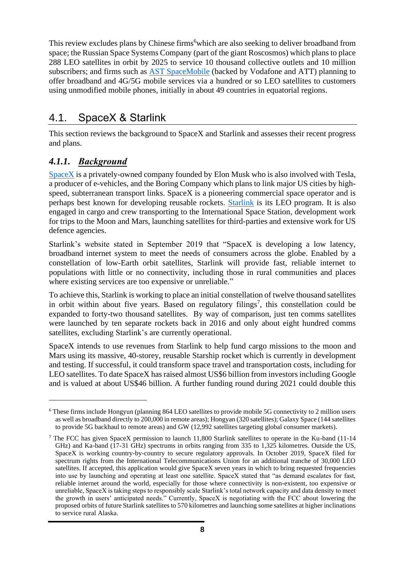This review excludes plans by Chinese firms<sup>6</sup>which are also seeking to deliver broadband from space; the Russian Space Systems Company (part of the giant Roscosmos) which plans to place 288 LEO satellites in orbit by 2025 to service 10 thousand collective outlets and 10 million subscribers; and firms such as [AST SpaceMobile](https://ast-science.com/) (backed by Vodafone and ATT) planning to offer broadband and 4G/5G mobile services via a hundred or so LEO satellites to customers using unmodified mobile phones, initially in about 49 countries in equatorial regions.

# <span id="page-8-0"></span>4.1. SpaceX & Starlink

This section reviews the background to SpaceX and Starlink and assesses their recent progress and plans.

#### <span id="page-8-1"></span>*4.1.1. Background*

[SpaceX](https://www.spacex.com/) is a privately-owned company founded by Elon Musk who is also involved with Tesla, a producer of e-vehicles, and the Boring Company which plans to link major US cities by highspeed, subterranean transport links. SpaceX is a pioneering commercial space operator and is perhaps best known for developing reusable rockets. [Starlink](https://www.starlink.com/) is its LEO program. It is also engaged in cargo and crew transporting to the International Space Station, development work for trips to the Moon and Mars, launching satellites for third-parties and extensive work for US defence agencies.

Starlink's website stated in September 2019 that "SpaceX is developing a low latency, broadband internet system to meet the needs of consumers across the globe. Enabled by a constellation of low-Earth orbit satellites, Starlink will provide fast, reliable internet to populations with little or no connectivity, including those in rural communities and places where existing services are too expensive or unreliable."

To achieve this, Starlink is working to place an initial constellation of twelve thousand satellites in orbit within about five years. Based on regulatory filings<sup>7</sup>, this constellation could be expanded to forty-two thousand satellites. By way of comparison, just ten comms satellites were launched by ten separate rockets back in 2016 and only about eight hundred comms satellites, excluding Starlink's are currently operational.

SpaceX intends to use revenues from Starlink to help fund cargo missions to the moon and Mars using its massive, 40-storey, reusable Starship rocket which is currently in development and testing. If successful, it could transform space travel and transportation costs, including for LEO satellites. To date SpaceX has raised almost US\$6 billion from investors including Google and is valued at about US\$46 billion. A further funding round during 2021 could double this

<sup>6</sup> These firms include Hongyun (planning 864 LEO satellites to provide mobile 5G connectivity to 2 million users as well as broadband directly to 200,000 in remote areas); Hongyan (320 satellites); Galaxy Space (144 satellites to provide 5G backhaul to remote areas) and GW (12,992 satellites targeting global consumer markets).

<sup>&</sup>lt;sup>7</sup> The FCC has given SpaceX permission to launch 11,800 Starlink satellites to operate in the Ku-band (11-14) GHz) and Ka-band (17-31 GHz) spectrums in orbits ranging from 335 to 1,325 kilometres. Outside the US, SpaceX is working country-by-country to secure regulatory approvals. In October 2019, SpaceX filed for spectrum rights from the International Telecommunications Union for an additional tranche of 30,000 LEO satellites. If accepted, this application would give SpaceX seven years in which to bring requested frequencies into use by launching and operating at least one satellite. SpaceX stated that "as demand escalates for fast, reliable internet around the world, especially for those where connectivity is non-existent, too expensive or unreliable, SpaceX is taking steps to responsibly scale Starlink's total network capacity and data density to meet the growth in users' anticipated needs." Currently, SpaceX is negotiating with the FCC about lowering the proposed orbits of future Starlink satellites to 570 kilometres and launching some satellites at higher inclinations to service rural Alaska.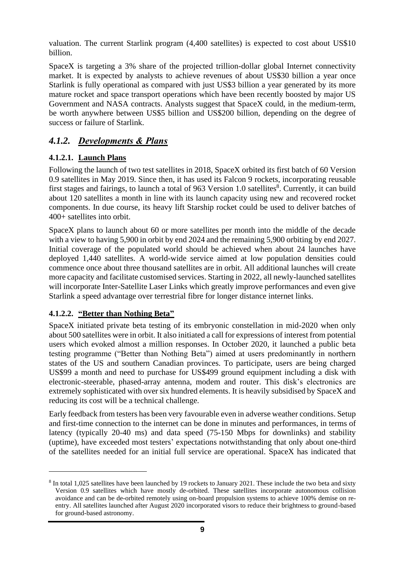valuation. The current Starlink program (4,400 satellites) is expected to cost about US\$10 billion.

SpaceX is targeting a 3% share of the projected trillion-dollar global Internet connectivity market. It is expected by analysts to achieve revenues of about US\$30 billion a year once Starlink is fully operational as compared with just US\$3 billion a year generated by its more mature rocket and space transport operations which have been recently boosted by major US Government and NASA contracts. Analysts suggest that SpaceX could, in the medium-term, be worth anywhere between US\$5 billion and US\$200 billion, depending on the degree of success or failure of Starlink.

#### <span id="page-9-0"></span>*4.1.2. Developments & Plans*

#### **4.1.2.1. Launch Plans**

Following the launch of two test satellites in 2018, SpaceX orbited its first batch of 60 Version 0.9 satellites in May 2019. Since then, it has used its Falcon 9 rockets, incorporating reusable first stages and fairings, to launch a total of 963 Version 1.0 satellites<sup>8</sup>. Currently, it can build about 120 satellites a month in line with its launch capacity using new and recovered rocket components. In due course, its heavy lift Starship rocket could be used to deliver batches of 400+ satellites into orbit.

SpaceX plans to launch about 60 or more satellites per month into the middle of the decade with a view to having 5,900 in orbit by end 2024 and the remaining 5,900 orbiting by end 2027. Initial coverage of the populated world should be achieved when about 24 launches have deployed 1,440 satellites. A world-wide service aimed at low population densities could commence once about three thousand satellites are in orbit. All additional launches will create more capacity and facilitate customised services. Starting in 2022, all newly-launched satellites will incorporate Inter-Satellite Laser Links which greatly improve performances and even give Starlink a speed advantage over terrestrial fibre for longer distance internet links.

#### **4.1.2.2. "Better than Nothing Beta"**

SpaceX initiated private beta testing of its embryonic constellation in mid-2020 when only about 500 satellites were in orbit. It also initiated a call for expressions of interest from potential users which evoked almost a million responses. In October 2020, it launched a public beta testing programme ("Better than Nothing Beta") aimed at users predominantly in northern states of the US and southern Canadian provinces. To participate, users are being charged US\$99 a month and need to purchase for US\$499 ground equipment including a disk with electronic-steerable, phased-array antenna, modem and router. This disk's electronics are extremely sophisticated with over six hundred elements. It is heavily subsidised by SpaceX and reducing its cost will be a technical challenge.

Early feedback from testers has been very favourable even in adverse weather conditions. Setup and first-time connection to the internet can be done in minutes and performances, in terms of latency (typically 20-40 ms) and data speed (75-150 Mbps for downlinks) and stability (uptime), have exceeded most testers' expectations notwithstanding that only about one-third of the satellites needed for an initial full service are operational. SpaceX has indicated that

<sup>&</sup>lt;sup>8</sup> In total 1,025 satellites have been launched by 19 rockets to January 2021. These include the two beta and sixty Version 0.9 satellites which have mostly de-orbited. These satellites incorporate autonomous collision avoidance and can be de-orbited remotely using on-board propulsion systems to achieve 100% demise on reentry. All satellites launched after August 2020 incorporated visors to reduce their brightness to ground-based for ground-based astronomy.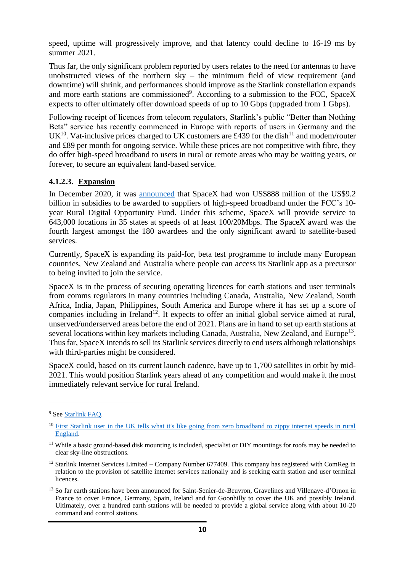speed, uptime will progressively improve, and that latency could decline to 16-19 ms by summer 2021.

Thus far, the only significant problem reported by users relates to the need for antennas to have unobstructed views of the northern sky – the minimum field of view requirement (and downtime) will shrink, and performances should improve as the Starlink constellation expands and more earth stations are commissioned<sup>9</sup>. According to a submission to the FCC, SpaceX expects to offer ultimately offer download speeds of up to 10 Gbps (upgraded from 1 Gbps).

Following receipt of licences from telecom regulators, Starlink's public "Better than Nothing Beta" service has recently commenced in Europe with reports of users in Germany and the UK<sup>10</sup>. Vat-inclusive prices charged to UK customers are £439 for the dish<sup>11</sup> and modem/router and £89 per month for ongoing service. While these prices are not competitive with fibre, they do offer high-speed broadband to users in rural or remote areas who may be waiting years, or forever, to secure an equivalent land-based service.

#### **4.1.2.3. Expansion**

In December 2020, it was [announced](https://spacenews.com/spacex-wins-big-share-of-9-2b-rdof-broadband-subsidy/) that SpaceX had won US\$888 million of the US\$9.2 billion in subsidies to be awarded to suppliers of high-speed broadband under the FCC's 10 year Rural Digital Opportunity Fund. Under this scheme, SpaceX will provide service to 643,000 locations in 35 states at speeds of at least 100/20Mbps. The SpaceX award was the fourth largest amongst the 180 awardees and the only significant award to satellite-based services.

Currently, SpaceX is expanding its paid-for, beta test programme to include many European countries, New Zealand and Australia where people can access its Starlink app as a precursor to being invited to join the service.

SpaceX is in the process of securing operating licences for earth stations and user terminals from comms regulators in many countries including Canada, Australia, New Zealand, South Africa, India, Japan, Philippines, South America and Europe where it has set up a score of companies including in Ireland<sup>12</sup>. It expects to offer an initial global service aimed at rural, unserved/underserved areas before the end of 2021. Plans are in hand to set up earth stations at several locations within key markets including Canada, Australia, New Zealand, and Europe<sup>13</sup>. Thus far, SpaceX intends to sell its Starlink services directly to end users although relationships with third-parties might be considered.

SpaceX could, based on its current launch cadence, have up to 1,700 satellites in orbit by mid-2021. This would position Starlink years ahead of any competition and would make it the most immediately relevant service for rural Ireland.

<sup>&</sup>lt;sup>9</sup> See Starlink FAO.

<sup>&</sup>lt;sup>10</sup> First Starlink user in the UK tells what it's like going from zero broadband to zippy internet speeds in rural [England.](https://www.businessinsider.com/starlink-first-uk-resident-set-up-spacex-internet-service2021-1?r=US&IR=T)

<sup>&</sup>lt;sup>11</sup> While a basic ground-based disk mounting is included, specialist or DIY mountings for roofs may be needed to clear sky-line obstructions.

<sup>&</sup>lt;sup>12</sup> Starlink Internet Services Limited – Company Number 677409. This company has registered with ComReg in relation to the provision of satellite internet services nationally and is seeking earth station and user terminal licences.

<sup>&</sup>lt;sup>13</sup> So far earth stations have been announced for Saint-Senier-de-Beuvron, Gravelines and Villenave-d'Ornon in France to cover France, Germany, Spain, Ireland and for Goonhilly to cover the UK and possibly Ireland. Ultimately, over a hundred earth stations will be needed to provide a global service along with about 10-20 command and control stations.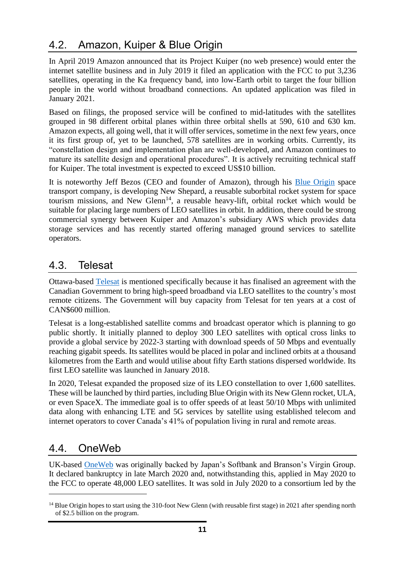# <span id="page-11-0"></span>4.2. Amazon, Kuiper & Blue Origin

In April 2019 Amazon announced that its Project Kuiper (no web presence) would enter the internet satellite business and in July 2019 it filed an application with the FCC to put 3,236 satellites, operating in the Ka frequency band, into low-Earth orbit to target the four billion people in the world without broadband connections. An updated application was filed in January 2021.

Based on filings, the proposed service will be confined to mid-latitudes with the satellites grouped in 98 different orbital planes within three orbital shells at 590, 610 and 630 km. Amazon expects, all going well, that it will offer services, sometime in the next few years, once it its first group of, yet to be launched, 578 satellites are in working orbits. Currently, its "constellation design and implementation plan are well-developed, and Amazon continues to mature its satellite design and operational procedures". It is actively recruiting technical staff for Kuiper. The total investment is expected to exceed US\$10 billion.

It is noteworthy Jeff Bezos (CEO and founder of Amazon), through his [Blue Origin](https://www.blueorigin.com/) space transport company, is developing New Shepard, a reusable suborbital rocket system for space tourism missions, and New  $\widetilde{Glenn}^{14}$ , a reusable heavy-lift, orbital rocket which would be suitable for placing large numbers of LEO satellites in orbit. In addition, there could be strong commercial synergy between Kuiper and Amazon's subsidiary AWS which provides data storage services and has recently started offering managed ground services to satellite operators.

#### <span id="page-11-1"></span>4.3. Telesat

Ottawa-based [Telesat](https://www.telesat.com/) is mentioned specifically because it has finalised an agreement with the Canadian Government to bring high-speed broadband via LEO satellites to the country's most remote citizens. The Government will buy capacity from Telesat for ten years at a cost of CAN\$600 million.

Telesat is a long-established satellite comms and broadcast operator which is planning to go public shortly. It initially planned to deploy 300 LEO satellites with optical cross links to provide a global service by 2022-3 starting with download speeds of 50 Mbps and eventually reaching gigabit speeds. Its satellites would be placed in polar and inclined orbits at a thousand kilometres from the Earth and would utilise about fifty Earth stations dispersed worldwide. Its first LEO satellite was launched in January 2018.

In 2020, Telesat expanded the proposed size of its LEO constellation to over 1,600 satellites. These will be launched by third parties, including Blue Origin with its New Glenn rocket, ULA, or even SpaceX. The immediate goal is to offer speeds of at least 50/10 Mbps with unlimited data along with enhancing LTE and 5G services by satellite using established telecom and internet operators to cover Canada's 41% of population living in rural and remote areas.

# <span id="page-11-2"></span>4.4. OneWeb

UK-based [OneWeb](https://www.oneweb.world/) was originally backed by Japan's Softbank and Branson's Virgin Group. It declared bankruptcy in late March 2020 and, notwithstanding this, applied in May 2020 to the FCC to operate 48,000 LEO satellites. It was sold in July 2020 to a consortium led by the

<sup>&</sup>lt;sup>14</sup> Blue Origin hopes to start using the 310-foot New Glenn (with reusable first stage) in 2021 after spending north of \$2.5 billion on the program.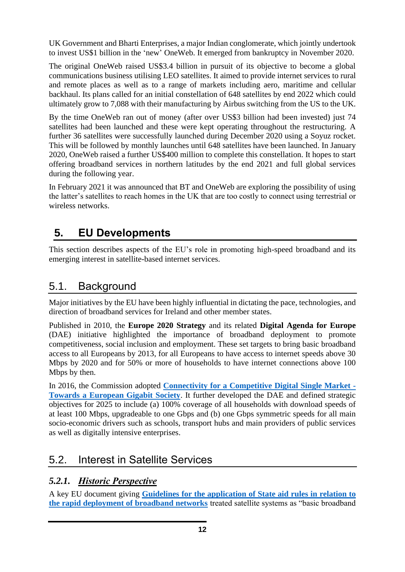UK Government and Bharti Enterprises, a major Indian conglomerate, which jointly undertook to invest US\$1 billion in the 'new' OneWeb. It emerged from bankruptcy in November 2020.

The original OneWeb raised US\$3.4 billion in pursuit of its objective to become a global communications business utilising LEO satellites. It aimed to provide internet services to rural and remote places as well as to a range of markets including aero, maritime and cellular backhaul. Its plans called for an initial constellation of 648 satellites by end 2022 which could ultimately grow to 7,088 with their manufacturing by Airbus switching from the US to the UK.

By the time OneWeb ran out of money (after over US\$3 billion had been invested) just 74 satellites had been launched and these were kept operating throughout the restructuring. A further 36 satellites were successfully launched during December 2020 using a Soyuz rocket. This will be followed by monthly launches until 648 satellites have been launched. In January 2020, OneWeb raised a further US\$400 million to complete this constellation. It hopes to start offering broadband services in northern latitudes by the end 2021 and full global services during the following year.

In February 2021 it was announced that BT and OneWeb are exploring the possibility of using the latter's satellites to reach homes in the UK that are too costly to connect using terrestrial or wireless networks.

# <span id="page-12-0"></span>**5. EU Developments**

This section describes aspects of the EU's role in promoting high-speed broadband and its emerging interest in satellite-based internet services.

## <span id="page-12-1"></span>5.1. Background

Major initiatives by the EU have been highly influential in dictating the pace, technologies, and direction of broadband services for Ireland and other member states.

Published in 2010, the **Europe 2020 Strategy** and its related **Digital Agenda for Europe**  (DAE) initiative highlighted the importance of broadband deployment to promote competitiveness, social inclusion and employment. These set targets to bring basic broadband access to all Europeans by 2013, for all Europeans to have access to internet speeds above 30 Mbps by 2020 and for 50% or more of households to have internet connections above 100 Mbps by then.

In 2016, the Commission adopted **[Connectivity for a Competitive Digital Single Market -](https://ec.europa.eu/transparency/regdoc/rep/1/2016/EN/1-2016-587-EN-F1-1.PDF) [Towards a European Gigabit Society](https://ec.europa.eu/transparency/regdoc/rep/1/2016/EN/1-2016-587-EN-F1-1.PDF)**. It further developed the DAE and defined strategic objectives for 2025 to include (a) 100% coverage of all households with download speeds of at least 100 Mbps, upgradeable to one Gbps and (b) one Gbps symmetric speeds for all main socio-economic drivers such as schools, transport hubs and main providers of public services as well as digitally intensive enterprises.

# <span id="page-12-2"></span>5.2. Interest in Satellite Services

#### <span id="page-12-3"></span>*5.2.1. Historic Perspective*

A key EU document giving **[Guidelines for the application of State aid rules in relation to](https://eur-lex.europa.eu/legal-content/EN/TXT/PDF/?uri=CELEX:52013XC0126(01)&from=EN)  [the rapid deployment of broadband networks](https://eur-lex.europa.eu/legal-content/EN/TXT/PDF/?uri=CELEX:52013XC0126(01)&from=EN)** treated satellite systems as "basic broadband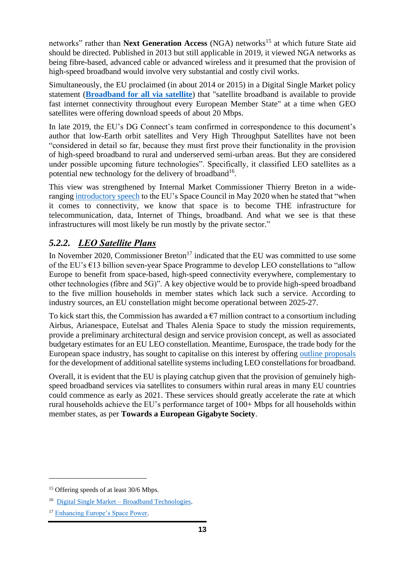networks" rather than **Next Generation Access** (NGA) networks<sup>15</sup> at which future State aid should be directed. Published in 2013 but still applicable in 2019, it viewed NGA networks as being fibre-based, advanced cable or advanced wireless and it presumed that the provision of high-speed broadband would involve very substantial and costly civil works.

Simultaneously, the EU proclaimed (in about 2014 or 2015) in a Digital Single Market policy statement (**[Broadband for all via satellite](https://ec.europa.eu/digital-single-market/en/content/broadband-all)**) that "satellite broadband is available to provide fast internet connectivity throughout every European Member State" at a time when GEO satellites were offering download speeds of about 20 Mbps.

In late 2019, the EU's DG Connect's team confirmed in correspondence to this document's author that low-Earth orbit satellites and Very High Throughput Satellites have not been "considered in detail so far, because they must first prove their functionality in the provision of high-speed broadband to rural and underserved semi-urban areas. But they are considered under possible upcoming future technologies". Specifically, it classified LEO satellites as a potential new technology for the delivery of broadband<sup>16</sup>.

This view was strengthened by Internal Market Commissioner Thierry Breton in a wideranging [introductory speech](https://ec.europa.eu/commission/commissioners/2019-2024/breton/announcements/introductory-speech-commissioner-breton-space-council-29052020_en) to the EU's Space Council in May 2020 when he stated that "when it comes to connectivity, we know that space is to become THE infrastructure for telecommunication, data, Internet of Things, broadband. And what we see is that these infrastructures will most likely be run mostly by the private sector."

#### <span id="page-13-0"></span>*5.2.2. LEO Satellite Plans*

In November 2020, Commissioner Breton<sup>17</sup> indicated that the EU was committed to use some of the EU's €13 billion seven-year Space Programme to develop LEO constellations to "allow Europe to benefit from space-based, high-speed connectivity everywhere, complementary to other technologies (fibre and 5G)". A key objective would be to provide high-speed broadband to the five million households in member states which lack such a service. According to industry sources, an EU constellation might become operational between 2025-27.

To kick start this, the Commission has awarded a  $\epsilon$ 7 million contract to a consortium including Airbus, Arianespace, Eutelsat and Thales Alenia Space to study the mission requirements, provide a preliminary architectural design and service provision concept, as well as associated budgetary estimates for an EU LEO constellation. Meantime, Eurospace, the trade body for the European space industry, has sought to capitalise on this interest by offering [outline proposals](https://eurospace.org/industry-manifesto-for-a-resilient-satellite-system-for-secure-connectivity-to-make-europe-fit-for-the-digital-age/) for the development of additional satellite systems including LEO constellations for broadband.

Overall, it is evident that the EU is playing catchup given that the provision of genuinely highspeed broadband services via satellites to consumers within rural areas in many EU countries could commence as early as 2021. These services should greatly accelerate the rate at which rural households achieve the EU's performance target of 100+ Mbps for all households within member states, as per **Towards a European Gigabyte Society**.

<sup>&</sup>lt;sup>15</sup> Offering speeds of at least 30/6 Mbps.

<sup>16</sup> Digital Single Market – [Broadband Technologies.](https://ec.europa.eu/digital-single-market/en/broadband-technologies)

<sup>17</sup> [Enhancing Europe's Space Power.](https://ec.europa.eu/commission/commissioners/2019-2024/breton/blog/enhancing-europes-space-power_en)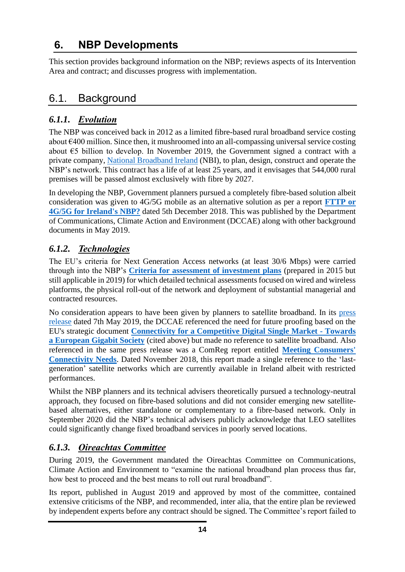# <span id="page-14-0"></span>**6. NBP Developments**

This section provides background information on the NBP; reviews aspects of its Intervention Area and contract; and discusses progress with implementation.

# <span id="page-14-1"></span>6.1. Background

#### <span id="page-14-2"></span>*6.1.1. Evolution*

The NBP was conceived back in 2012 as a limited fibre-based rural broadband service costing about €400 million. Since then, it mushroomed into an all-compassing universal service costing about €5 billion to develop. In November 2019, the Government signed a contract with a private company, [National Broadband Ireland](https://nbi.ie/) (NBI), to plan, design, construct and operate the NBP's network. This contract has a life of at least 25 years, and it envisages that 544,000 rural premises will be passed almost exclusively with fibre by 2027.

In developing the NBP, Government planners pursued a completely fibre-based solution albeit consideration was given to 4G/5G mobile as an alternative solution as per a report **[FTTP or](https://s3-eu-west-1.amazonaws.com/govieassets/8531/d40f531ae0194d01af3c48420d7db2cb.pdf)  [4G/5G for Ireland's NBP?](https://s3-eu-west-1.amazonaws.com/govieassets/8531/d40f531ae0194d01af3c48420d7db2cb.pdf)** dated 5th December 2018. This was published by the Department of Communications, Climate Action and Environment (DCCAE) along with other background documents in May 2019.

#### <span id="page-14-3"></span>*6.1.2. Technologies*

The EU's criteria for Next Generation Access networks (at least 30/6 Mbps) were carried through into the NBP's **[Criteria for assessment of investment plans](https://dccae.gov.ie/en-ie/communications/consultations/Documents/88/consultations/Annex%201%20Assessment%20Criteria.pdf)** (prepared in 2015 but still applicable in 2019) for which detailed technical assessments focused on wired and wireless platforms, the physical roll-out of the network and deployment of substantial managerial and contracted resources.

No consideration appears to have been given by planners to satellite broadband. In its [press](https://www.dccae.gov.ie/en-ie/news-and-media/press-releases/Pages/Biggest-investment-in-Rural-Ireland-since-Electrification-as-Preferred-Bidder-appointed-to-National-Broadband-Plan.aspx)  [release](https://www.dccae.gov.ie/en-ie/news-and-media/press-releases/Pages/Biggest-investment-in-Rural-Ireland-since-Electrification-as-Preferred-Bidder-appointed-to-National-Broadband-Plan.aspx) dated 7th May 2019, the DCCAE referenced the need for future proofing based on the EU's strategic document **[Connectivity for a Competitive](https://ec.europa.eu/transparency/regdoc/rep/1/2016/EN/1-2016-587-EN-F1-1.PDF) Digital Single Market - Towards [a European Gigabit Society](https://ec.europa.eu/transparency/regdoc/rep/1/2016/EN/1-2016-587-EN-F1-1.PDF)** (cited above) but made no reference to satellite broadband. Also referenced in the same press release was a ComReg report entitled **[Meeting Consumers'](https://www.comreg.ie/publication-download/meeting-consumers-connectivity-needs)  [Connectivity Needs](https://www.comreg.ie/publication-download/meeting-consumers-connectivity-needs)**. Dated November 2018, this report made a single reference to the 'lastgeneration' satellite networks which are currently available in Ireland albeit with restricted performances.

Whilst the NBP planners and its technical advisers theoretically pursued a technology-neutral approach, they focused on fibre-based solutions and did not consider emerging new satellitebased alternatives, either standalone or complementary to a fibre-based network. Only in September 2020 did the NBP's technical advisers publicly acknowledge that LEO satellites could significantly change fixed broadband services in poorly served locations.

#### <span id="page-14-4"></span>*6.1.3. Oireachtas Committee*

During 2019, the Government mandated the Oireachtas Committee on Communications, Climate Action and Environment to "examine the national broadband plan process thus far, how best to proceed and the best means to roll out rural broadband".

Its report, published in August 2019 and approved by most of the committee, contained extensive criticisms of the NBP, and recommended, inter alia, that the entire plan be reviewed by independent experts before any contract should be signed. The Committee's report failed to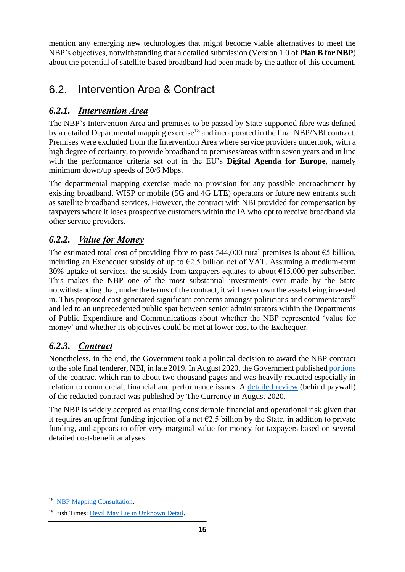mention any emerging new technologies that might become viable alternatives to meet the NBP's objectives, notwithstanding that a detailed submission (Version 1.0 of **Plan B for NBP**) about the potential of satellite-based broadband had been made by the author of this document.

# <span id="page-15-0"></span>6.2. Intervention Area & Contract

#### <span id="page-15-1"></span>*6.2.1. Intervention Area*

The NBP's Intervention Area and premises to be passed by State-supported fibre was defined by a detailed Departmental mapping exercise<sup>18</sup> and incorporated in the final NBP/NBI contract. Premises were excluded from the Intervention Area where service providers undertook, with a high degree of certainty, to provide broadband to premises/areas within seven years and in line with the performance criteria set out in the EU's **Digital Agenda for Europe**, namely minimum down/up speeds of 30/6 Mbps.

The departmental mapping exercise made no provision for any possible encroachment by existing broadband, WISP or mobile (5G and 4G LTE) operators or future new entrants such as satellite broadband services. However, the contract with NBI provided for compensation by taxpayers where it loses prospective customers within the IA who opt to receive broadband via other service providers.

#### <span id="page-15-2"></span>*6.2.2. Value for Money*

The estimated total cost of providing fibre to pass  $544,000$  rural premises is about  $65$  billion, including an Exchequer subsidy of up to  $E2.5$  billion net of VAT. Assuming a medium-term 30% uptake of services, the subsidy from taxpayers equates to about  $\epsilon$ 15,000 per subscriber. This makes the NBP one of the most substantial investments ever made by the State notwithstanding that, under the terms of the contract, it will never own the assets being invested in. This proposed cost generated significant concerns amongst politicians and commentators<sup>19</sup> and led to an unprecedented public spat between senior administrators within the Departments of Public Expenditure and Communications about whether the NBP represented 'value for money' and whether its objectives could be met at lower cost to the Exchequer.

#### <span id="page-15-3"></span>*6.2.3. Contract*

Nonetheless, in the end, the Government took a political decision to award the NBP contract to the sole final tenderer, NBI, in late 2019. In August 2020, the Government published [portions](https://www.gov.ie/en/publication/16717-national-broadband-plan-contract/) of the contract which ran to about two thousand pages and was heavily redacted especially in relation to commercial, financial and performance issues. A [detailed review](https://thecurrency.news/articles/22771/national-broadband-plan-the-e3bn-contract-the-companies-the-claw-backs-and-the-redactions/) (behind paywall) of the redacted contract was published by The Currency in August 2020.

The NBP is widely accepted as entailing considerable financial and operational risk given that it requires an upfront funding injection of a net  $\epsilon$ 2.5 billion by the State, in addition to private funding, and appears to offer very marginal value-for-money for taxpayers based on several detailed cost-benefit analyses.

<sup>&</sup>lt;sup>18</sup> [NBP Mapping Consultation.](https://dccae.gov.ie/en-ie/communications/consultations/Documents/88/consultations/2019_NBP_Mapping_Consultation.pdf)

<sup>&</sup>lt;sup>19</sup> Irish Times: [Devil May Lie in Unknown](https://www.irishtimes.com/opinion/editorial/the-irish-times-view-on-the-national-broadband-plan-contract-devil-may-lie-in-unknown-detail-1.4342224) Detail.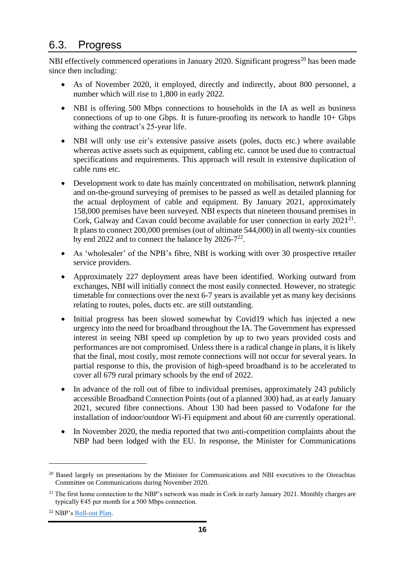# <span id="page-16-0"></span>6.3. Progress

NBI effectively commenced operations in January 2020. Significant progress<sup>20</sup> has been made since then including:

- As of November 2020, it employed, directly and indirectly, about 800 personnel, a number which will rise to 1,800 in early 2022.
- NBI is offering 500 Mbps connections to households in the IA as well as business connections of up to one Gbps. It is future-proofing its network to handle 10+ Gbps withing the contract's 25-year life.
- NBI will only use eir's extensive passive assets (poles, ducts etc.) where available whereas active assets such as equipment, cabling etc. cannot be used due to contractual specifications and requirements. This approach will result in extensive duplication of cable runs etc.
- Development work to date has mainly concentrated on mobilisation, network planning and on-the-ground surveying of premises to be passed as well as detailed planning for the actual deployment of cable and equipment. By January 2021, approximately 158,000 premises have been surveyed. NBI expects that nineteen thousand premises in Cork, Galway and Cavan could become available for user connection in early  $2021^{21}$ . It plans to connect 200,000 premises (out of ultimate 544,000) in all twenty-six counties by end 2022 and to connect the balance by 2026- $7^{22}$ .
- As 'wholesaler' of the NPB's fibre, NBI is working with over 30 prospective retailer service providers.
- Approximately 227 deployment areas have been identified. Working outward from exchanges, NBI will initially connect the most easily connected. However, no strategic timetable for connections over the next 6-7 years is available yet as many key decisions relating to routes, poles, ducts etc. are still outstanding.
- Initial progress has been slowed somewhat by Covid19 which has injected a new urgency into the need for broadband throughout the IA. The Government has expressed interest in seeing NBI speed up completion by up to two years provided costs and performances are not compromised. Unless there is a radical change in plans, it is likely that the final, most costly, most remote connections will not occur for several years. In partial response to this, the provision of high-speed broadband is to be accelerated to cover all 679 rural primary schools by the end of 2022.
- In advance of the roll out of fibre to individual premises, approximately 243 publicly accessible Broadband Connection Points (out of a planned 300) had, as at early January 2021, secured fibre connections. About 130 had been passed to Vodafone for the installation of indoor/outdoor Wi-Fi equipment and about 60 are currently operational.
- In November 2020, the media reported that two anti-competition complaints about the NBP had been lodged with the EU. In response, the Minister for Communications

<sup>&</sup>lt;sup>20</sup> Based largely on presentations by the Minister for Communications and NBI executives to the Oireachtas Committee on Communications during November 2020.

<sup>&</sup>lt;sup>21</sup> The first home connection to the NBP's network was made in Cork in early January 2021. Monthly charges are typically €45 per month for a 500 Mbps connection.

<sup>22</sup> NBP's [Roll-out Plan.](https://nbi.ie/rollout-plan/)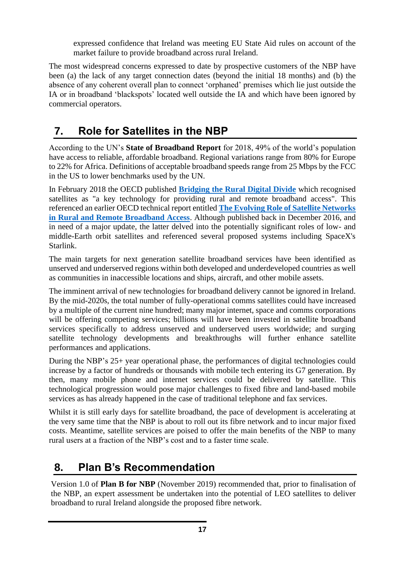expressed confidence that Ireland was meeting EU State Aid rules on account of the market failure to provide broadband across rural Ireland.

The most widespread concerns expressed to date by prospective customers of the NBP have been (a) the lack of any target connection dates (beyond the initial 18 months) and (b) the absence of any coherent overall plan to connect 'orphaned' premises which lie just outside the IA or in broadband 'blackspots' located well outside the IA and which have been ignored by commercial operators.

# <span id="page-17-0"></span>**7. Role for Satellites in the NBP**

According to the UN's **State of Broadband Report** for 2018, 49% of the world's population have access to reliable, affordable broadband. Regional variations range from 80% for Europe to 22% for Africa. Definitions of acceptable broadband speeds range from 25 Mbps by the FCC in the US to lower benchmarks used by the UN.

In February 2018 the OECD published **[Bridging the Rural Digital Divide](https://www.oecd-ilibrary.org/deliver/852bd3b9-en.pdf?itemId=%2Fcontent%2Fpaper%2F852bd3b9-en&mimeType=pdf)** which recognised satellites as "a key technology for providing rural and remote broadband access". This referenced an earlier OECD technical report entitled **[The Evolving Role of Satellite Networks](https://www.oecd-ilibrary.org/deliver/7610090d-en.pdf?itemId=%2Fcontent%2Fpaper%2F7610090d-en&mimeType=pdf)  [in Rural and Remote Broadband Access](https://www.oecd-ilibrary.org/deliver/7610090d-en.pdf?itemId=%2Fcontent%2Fpaper%2F7610090d-en&mimeType=pdf)**. Although published back in December 2016, and in need of a major update, the latter delved into the potentially significant roles of low- and middle-Earth orbit satellites and referenced several proposed systems including SpaceX's Starlink.

The main targets for next generation satellite broadband services have been identified as unserved and underserved regions within both developed and underdeveloped countries as well as communities in inaccessible locations and ships, aircraft, and other mobile assets.

The imminent arrival of new technologies for broadband delivery cannot be ignored in Ireland. By the mid-2020s, the total number of fully-operational comms satellites could have increased by a multiple of the current nine hundred; many major internet, space and comms corporations will be offering competing services; billions will have been invested in satellite broadband services specifically to address unserved and underserved users worldwide; and surging satellite technology developments and breakthroughs will further enhance satellite performances and applications.

During the NBP's 25+ year operational phase, the performances of digital technologies could increase by a factor of hundreds or thousands with mobile tech entering its G7 generation. By then, many mobile phone and internet services could be delivered by satellite. This technological progression would pose major challenges to fixed fibre and land-based mobile services as has already happened in the case of traditional telephone and fax services.

Whilst it is still early days for satellite broadband, the pace of development is accelerating at the very same time that the NBP is about to roll out its fibre network and to incur major fixed costs. Meantime, satellite services are poised to offer the main benefits of the NBP to many rural users at a fraction of the NBP's cost and to a faster time scale.

# <span id="page-17-1"></span>**8. Plan B's Recommendation**

Version 1.0 of **Plan B for NBP** (November 2019) recommended that, prior to finalisation of the NBP, an expert assessment be undertaken into the potential of LEO satellites to deliver broadband to rural Ireland alongside the proposed fibre network.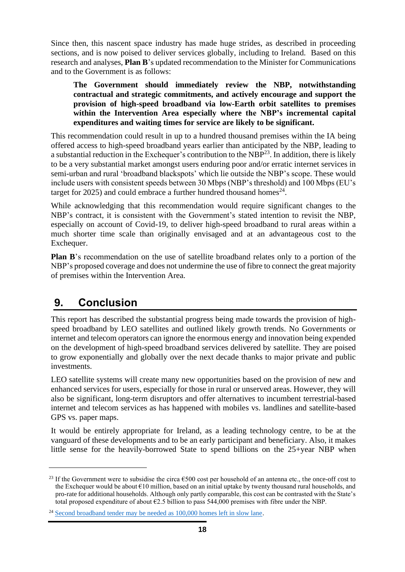Since then, this nascent space industry has made huge strides, as described in proceeding sections, and is now poised to deliver services globally, including to Ireland. Based on this research and analyses, **Plan B**'s updated recommendation to the Minister for Communications and to the Government is as follows:

**The Government should immediately review the NBP, notwithstanding contractual and strategic commitments, and actively encourage and support the provision of high-speed broadband via low-Earth orbit satellites to premises within the Intervention Area especially where the NBP's incremental capital expenditures and waiting times for service are likely to be significant.**

This recommendation could result in up to a hundred thousand premises within the IA being offered access to high-speed broadband years earlier than anticipated by the NBP, leading to a substantial reduction in the Exchequer's contribution to the NBP $^{23}$ . In addition, there is likely to be a very substantial market amongst users enduring poor and/or erratic internet services in semi-urban and rural 'broadband blackspots' which lie outside the NBP's scope. These would include users with consistent speeds between 30 Mbps (NBP's threshold) and 100 Mbps (EU's target for 2025) and could embrace a further hundred thousand homes<sup>24</sup>.

While acknowledging that this recommendation would require significant changes to the NBP's contract, it is consistent with the Government's stated intention to revisit the NBP, especially on account of Covid-19, to deliver high-speed broadband to rural areas within a much shorter time scale than originally envisaged and at an advantageous cost to the Exchequer.

**Plan B**'s recommendation on the use of satellite broadband relates only to a portion of the NBP's proposed coverage and does not undermine the use of fibre to connect the great majority of premises within the Intervention Area.

# <span id="page-18-0"></span>**9. Conclusion**

This report has described the substantial progress being made towards the provision of highspeed broadband by LEO satellites and outlined likely growth trends. No Governments or internet and telecom operators can ignore the enormous energy and innovation being expended on the development of high-speed broadband services delivered by satellite. They are poised to grow exponentially and globally over the next decade thanks to major private and public investments.

LEO satellite systems will create many new opportunities based on the provision of new and enhanced services for users, especially for those in rural or unserved areas. However, they will also be significant, long-term disruptors and offer alternatives to incumbent terrestrial-based internet and telecom services as has happened with mobiles vs. landlines and satellite-based GPS vs. paper maps.

It would be entirely appropriate for Ireland, as a leading technology centre, to be at the vanguard of these developments and to be an early participant and beneficiary. Also, it makes little sense for the heavily-borrowed State to spend billions on the 25+year NBP when

<sup>&</sup>lt;sup>23</sup> If the Government were to subsidise the circa  $6500$  cost per household of an antenna etc., the once-off cost to the Exchequer would be about €10 million, based on an initial uptake by twenty thousand rural households, and pro-rate for additional households. Although only partly comparable, this cost can be contrasted with the State's total proposed expenditure of about  $\epsilon$ 2.5 billion to pass 544,000 premises with fibre under the NBP.

<sup>&</sup>lt;sup>24</sup> [Second broadband tender may be needed as 100,000 homes left in slow lane.](https://www.independent.ie/business/technology/second-broadband-tender-may-be-needed-as-100000-homes-left-in-slow-lane-39820028.html)